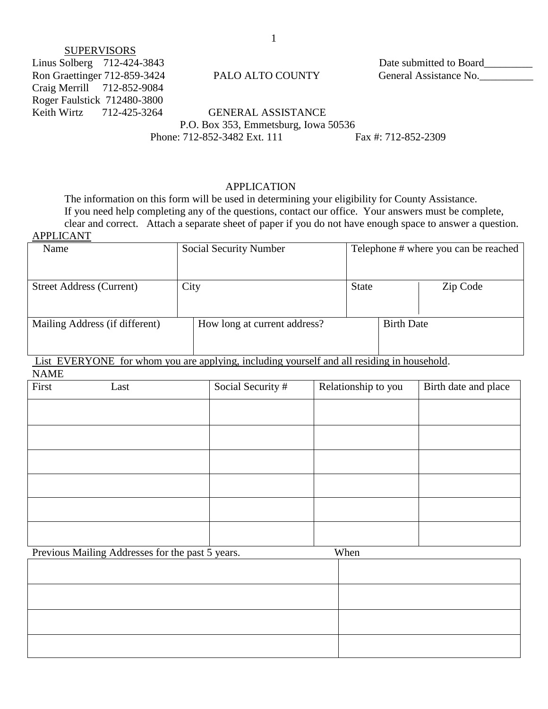# **SUPERVISORS**

Linus Solberg 712-424-3843 Date submitted to Board\_\_\_\_\_\_\_\_\_ Craig Merrill 712-852-9084 Roger Faulstick 712480-3800

Ron Graettinger 712-859-3424 PALO ALTO COUNTY General Assistance No.

Keith Wirtz 712-425-3264 GENERAL ASSISTANCE P.O. Box 353, Emmetsburg, Iowa 50536 Phone: 712-852-3482 Ext. 111 Fax #: 712-852-2309

# APPLICATION

The information on this form will be used in determining your eligibility for County Assistance. If you need help completing any of the questions, contact our office. Your answers must be complete, clear and correct. Attach a separate sheet of paper if you do not have enough space to answer a question. APPLICANT

| $\cdots$                        |                               |                   |                                      |
|---------------------------------|-------------------------------|-------------------|--------------------------------------|
| Name                            | <b>Social Security Number</b> |                   | Telephone # where you can be reached |
|                                 |                               |                   |                                      |
| <b>Street Address (Current)</b> | City                          | <b>State</b>      | Zip Code                             |
|                                 |                               |                   |                                      |
| Mailing Address (if different)  | How long at current address?  | <b>Birth Date</b> |                                      |
|                                 |                               |                   |                                      |
|                                 |                               |                   |                                      |

List EVERYONE for whom you are applying, including yourself and all residing in household.

| First | Last | Social Security # | Relationship to you | Birth date and place |
|-------|------|-------------------|---------------------|----------------------|
|       |      |                   |                     |                      |
|       |      |                   |                     |                      |
|       |      |                   |                     |                      |
|       |      |                   |                     |                      |
|       |      |                   |                     |                      |
|       |      |                   |                     |                      |

Previous Mailing Addresses for the past 5 years. When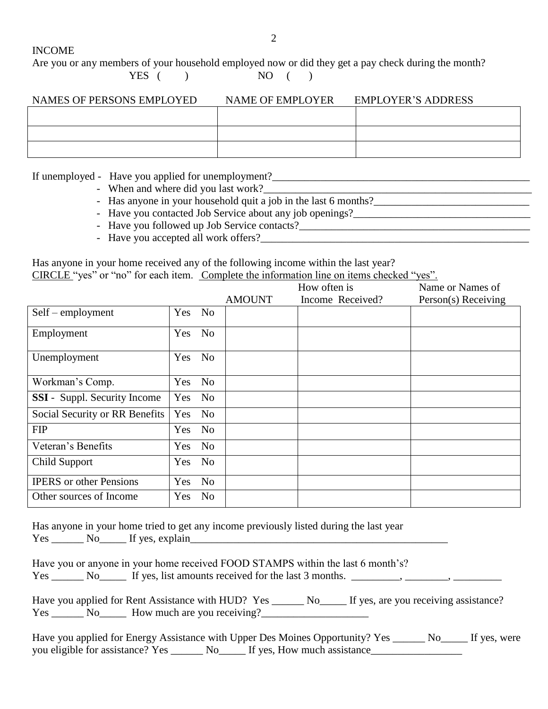INCOME

Are you or any members of your household employed now or did they get a pay check during the month?

 $YES$  ( )  $NO$  ( )

| NAMES OF PERSONS EMPLOYED | NAME OF EMPLOYER | <b>EMPLOYER'S ADDRESS</b> |
|---------------------------|------------------|---------------------------|
|                           |                  |                           |
|                           |                  |                           |
|                           |                  |                           |

If unemployed - Have you applied for unemployment?

- When and where did you last work?\_\_\_\_\_\_\_\_\_\_\_\_\_\_\_\_\_\_\_\_\_\_\_\_\_\_\_\_\_\_\_\_\_\_\_\_\_\_\_\_\_\_\_\_\_\_\_\_\_\_
- Has anyone in your household quit a job in the last 6 months?
- Have you contacted Job Service about any job openings?
- Have you followed up Job Service contacts?\_\_\_\_\_\_\_\_\_\_\_\_\_\_\_\_\_\_\_\_\_\_\_\_\_\_\_\_\_\_\_\_\_\_\_\_\_\_\_\_\_\_\_
- Have you accepted all work offers?

Has anyone in your home received any of the following income within the last year? CIRCLE "yes" or "no" for each item. Complete the information line on items checked "yes".

|                                     |                       |               | How often is     | Name or Names of    |
|-------------------------------------|-----------------------|---------------|------------------|---------------------|
|                                     |                       | <b>AMOUNT</b> | Income Received? | Person(s) Receiving |
| $Self$ – employment                 | Yes No                |               |                  |                     |
| Employment                          | Yes No                |               |                  |                     |
| Unemployment                        | Yes No                |               |                  |                     |
| Workman's Comp.                     | Yes No                |               |                  |                     |
| <b>SSI</b> - Suppl. Security Income | Yes No                |               |                  |                     |
| Social Security or RR Benefits      | Yes No                |               |                  |                     |
| <b>FIP</b>                          | Yes No                |               |                  |                     |
| Veteran's Benefits                  | Yes<br>No             |               |                  |                     |
| Child Support                       | Yes<br>N <sub>o</sub> |               |                  |                     |
| <b>IPERS</b> or other Pensions      | No<br><b>Yes</b>      |               |                  |                     |
| Other sources of Income             | N <sub>o</sub><br>Yes |               |                  |                     |

Has anyone in your home tried to get any income previously listed during the last year Yes No<sub>ll</sub> No If yes, explain

Have you or anyone in your home received FOOD STAMPS within the last 6 month's? Yes \_\_\_\_\_\_\_ No\_\_\_\_\_\_ If yes, list amounts received for the last 3 months. \_\_\_\_\_\_\_\_, \_\_\_\_\_\_\_\_, \_\_\_\_\_\_\_\_\_,

Have you applied for Rent Assistance with HUD? Yes \_\_\_\_\_\_ No\_\_\_\_\_ If yes, are you receiving assistance?  $Yes \_\_\_\_No \_\_\_\_$  How much are you receiving? $\_\_\_\_\_\_\_\_\_\_\_\_$ 

| Have you applied for Energy Assistance with Upper Des Moines Opportunity? Yes |                                                                                                                                                                                                                                |                             | $\sim$ No If yes, were |
|-------------------------------------------------------------------------------|--------------------------------------------------------------------------------------------------------------------------------------------------------------------------------------------------------------------------------|-----------------------------|------------------------|
| you eligible for assistance? Yes _                                            | No the set of the set of the set of the set of the set of the set of the set of the set of the set of the set of the set of the set of the set of the set of the set of the set of the set of the set of the set of the set of | If yes, How much assistance |                        |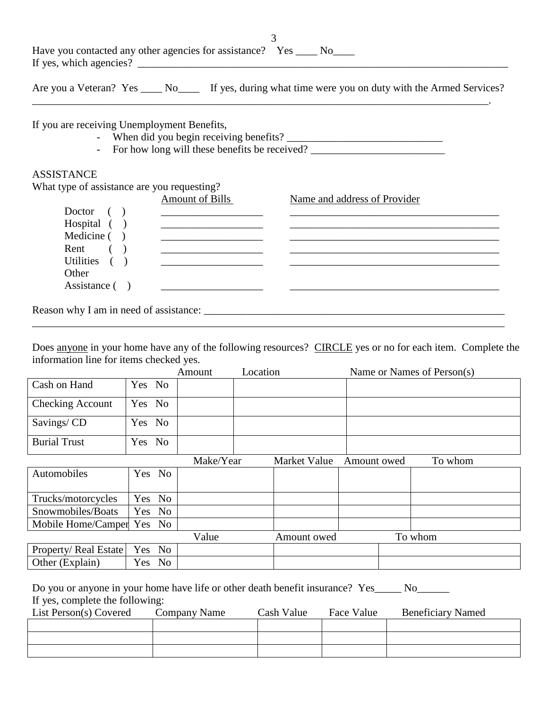| Have you contacted any other agencies for assistance? Yes _____ No_____<br>If yes, which agencies?         |
|------------------------------------------------------------------------------------------------------------|
| Are you a Veteran? Yes ______ No_______ If yes, during what time were you on duty with the Armed Services? |
| If you are receiving Unemployment Benefits,<br>- For how long will these benefits be received?             |

# ASSISTANCE

What type of assistance are you requesting?

|                | <b>Amount of Bills</b> | Name and address of Provider |
|----------------|------------------------|------------------------------|
| Doctor         |                        |                              |
| Hospital $( )$ |                        |                              |
| Medicine $( )$ |                        |                              |
| Rent           |                        |                              |
| Utilities      |                        |                              |
| Other          |                        |                              |
| Assistance ()  |                        |                              |
|                |                        |                              |

Reason why I am in need of assistance: \_\_\_\_\_\_\_\_\_\_\_\_\_\_\_\_\_\_\_\_\_\_\_\_\_\_\_\_\_\_\_\_\_\_\_\_\_\_\_\_\_\_\_\_\_\_\_\_\_\_\_\_\_\_\_\_

Does anyone in your home have any of the following resources? CIRCLE yes or no for each item. Complete the information line for items checked yes.

\_\_\_\_\_\_\_\_\_\_\_\_\_\_\_\_\_\_\_\_\_\_\_\_\_\_\_\_\_\_\_\_\_\_\_\_\_\_\_\_\_\_\_\_\_\_\_\_\_\_\_\_\_\_\_\_\_\_\_\_\_\_\_\_\_\_\_\_\_\_\_\_\_\_\_\_\_\_\_\_\_\_\_\_\_\_\_\_

|                         |        |        | Amount    | Location |              |             | Name or Names of Person(s) |
|-------------------------|--------|--------|-----------|----------|--------------|-------------|----------------------------|
| Cash on Hand            | Yes No |        |           |          |              |             |                            |
| <b>Checking Account</b> | Yes No |        |           |          |              |             |                            |
| Savings/CD              | Yes No |        |           |          |              |             |                            |
| <b>Burial Trust</b>     | Yes No |        |           |          |              |             |                            |
|                         |        |        | Make/Year |          | Market Value | Amount owed | To whom                    |
| Automobiles             |        | Yes No |           |          |              |             |                            |
| Trucks/motorcycles      |        | Yes No |           |          |              |             |                            |
| Snowmobiles/Boats       |        | Yes No |           |          |              |             |                            |
| Mobile Home/Camper      |        | Yes No |           |          |              |             |                            |
|                         |        |        | Value     |          | Amount owed  |             | To whom                    |
| Property/Real Estate    |        | Yes No |           |          |              |             |                            |
| Other (Explain)         |        | Yes No |           |          |              |             |                            |

Do you or anyone in your home have life or other death benefit insurance? Yes\_\_\_\_\_ No\_\_\_\_\_\_ If yes, complete the following:

| List Person(s) Covered | Company Name | Cash Value | Face Value | <b>Beneficiary Named</b> |
|------------------------|--------------|------------|------------|--------------------------|
|                        |              |            |            |                          |
|                        |              |            |            |                          |
|                        |              |            |            |                          |

3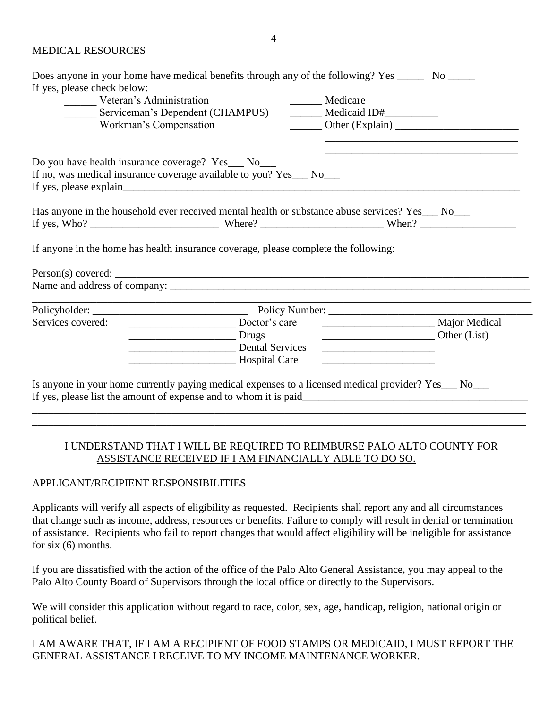#### MEDICAL RESOURCES

|                                                   | Does anyone in your home have medical benefits through any of the following? Yes _______ No ______    |                                                        |  |
|---------------------------------------------------|-------------------------------------------------------------------------------------------------------|--------------------------------------------------------|--|
| If yes, please check below:                       |                                                                                                       |                                                        |  |
| Veteran's Administration                          |                                                                                                       | Medicare                                               |  |
|                                                   | Serviceman's Dependent (CHAMPUS) Medicaid ID#                                                         |                                                        |  |
| Workman's Compensation                            |                                                                                                       | $\frac{1}{\sqrt{1-\frac{1}{2}}}\text{Other (Explain)}$ |  |
| Do you have health insurance coverage? Yes__ No__ | If no, was medical insurance coverage available to you? Yes___ No___                                  |                                                        |  |
|                                                   | Has anyone in the household ever received mental health or substance abuse services? Yes__ No__       |                                                        |  |
|                                                   |                                                                                                       |                                                        |  |
|                                                   | If anyone in the home has health insurance coverage, please complete the following:                   |                                                        |  |
|                                                   |                                                                                                       |                                                        |  |
|                                                   |                                                                                                       |                                                        |  |
| Services covered:                                 | Doctor's care                                                                                         | Major Medical                                          |  |
|                                                   | <b>Drugs</b> Drugs                                                                                    | Other (List)                                           |  |
|                                                   | Dental Services                                                                                       | <u> 1989 - John Stein, Amerikaansk politiker (</u>     |  |
|                                                   | Hospital Care                                                                                         |                                                        |  |
|                                                   |                                                                                                       |                                                        |  |
|                                                   | Is anyone in your home currently paying medical expenses to a licensed medical provider? Yes___ No___ |                                                        |  |
|                                                   |                                                                                                       |                                                        |  |
|                                                   |                                                                                                       |                                                        |  |

# I UNDERSTAND THAT I WILL BE REQUIRED TO REIMBURSE PALO ALTO COUNTY FOR ASSISTANCE RECEIVED IF I AM FINANCIALLY ABLE TO DO SO.

\_\_\_\_\_\_\_\_\_\_\_\_\_\_\_\_\_\_\_\_\_\_\_\_\_\_\_\_\_\_\_\_\_\_\_\_\_\_\_\_\_\_\_\_\_\_\_\_\_\_\_\_\_\_\_\_\_\_\_\_\_\_\_\_\_\_\_\_\_\_\_\_\_\_\_\_\_\_\_\_\_\_\_\_\_\_\_\_\_\_\_\_

# APPLICANT/RECIPIENT RESPONSIBILITIES

Applicants will verify all aspects of eligibility as requested. Recipients shall report any and all circumstances that change such as income, address, resources or benefits. Failure to comply will result in denial or termination of assistance. Recipients who fail to report changes that would affect eligibility will be ineligible for assistance for six (6) months.

If you are dissatisfied with the action of the office of the Palo Alto General Assistance, you may appeal to the Palo Alto County Board of Supervisors through the local office or directly to the Supervisors.

We will consider this application without regard to race, color, sex, age, handicap, religion, national origin or political belief.

I AM AWARE THAT, IF I AM A RECIPIENT OF FOOD STAMPS OR MEDICAID, I MUST REPORT THE GENERAL ASSISTANCE I RECEIVE TO MY INCOME MAINTENANCE WORKER.